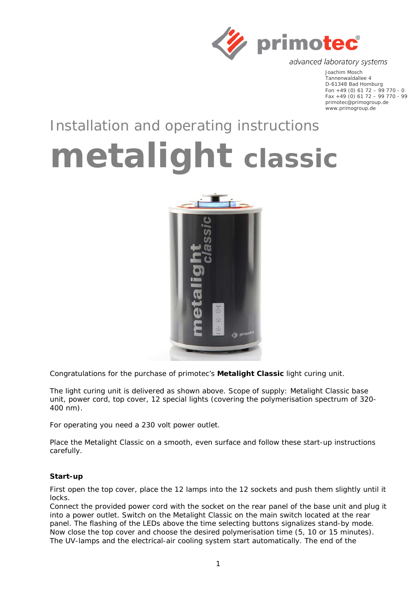

advanced laboratory systems

Joachim Mosch Tannenwaldallee 4 D-61348 Bad Homburg Fon +49 (0) 61 72 – 99 770 - 0 Fax +49 (0) 61 72 – 99 770 - 99 primotec@primogroup.de www.primogroup.de

## Installation and operating instructions

## **metalight** *classic*



Congratulations for the purchase of primotec's **Metalight Classic** light curing unit.

The light curing unit is delivered as shown above. Scope of supply: Metalight Classic base unit, power cord, top cover, 12 special lights (covering the polymerisation spectrum of 320- 400 nm).

For operating you need a 230 volt power outlet.

Place the Metalight Classic on a smooth, even surface and follow these start-up instructions carefully.

## **Start-up**

First open the top cover, place the 12 lamps into the 12 sockets and push them slightly until it locks.

Connect the provided power cord with the socket on the rear panel of the base unit and plug it into a power outlet. Switch on the Metalight Classic on the main switch located at the rear panel. The flashing of the LEDs above the time selecting buttons signalizes stand-by mode. Now close the top cover and choose the desired polymerisation time (5, 10 or 15 minutes). The UV-lamps and the electrical-air cooling system start automatically. The end of the